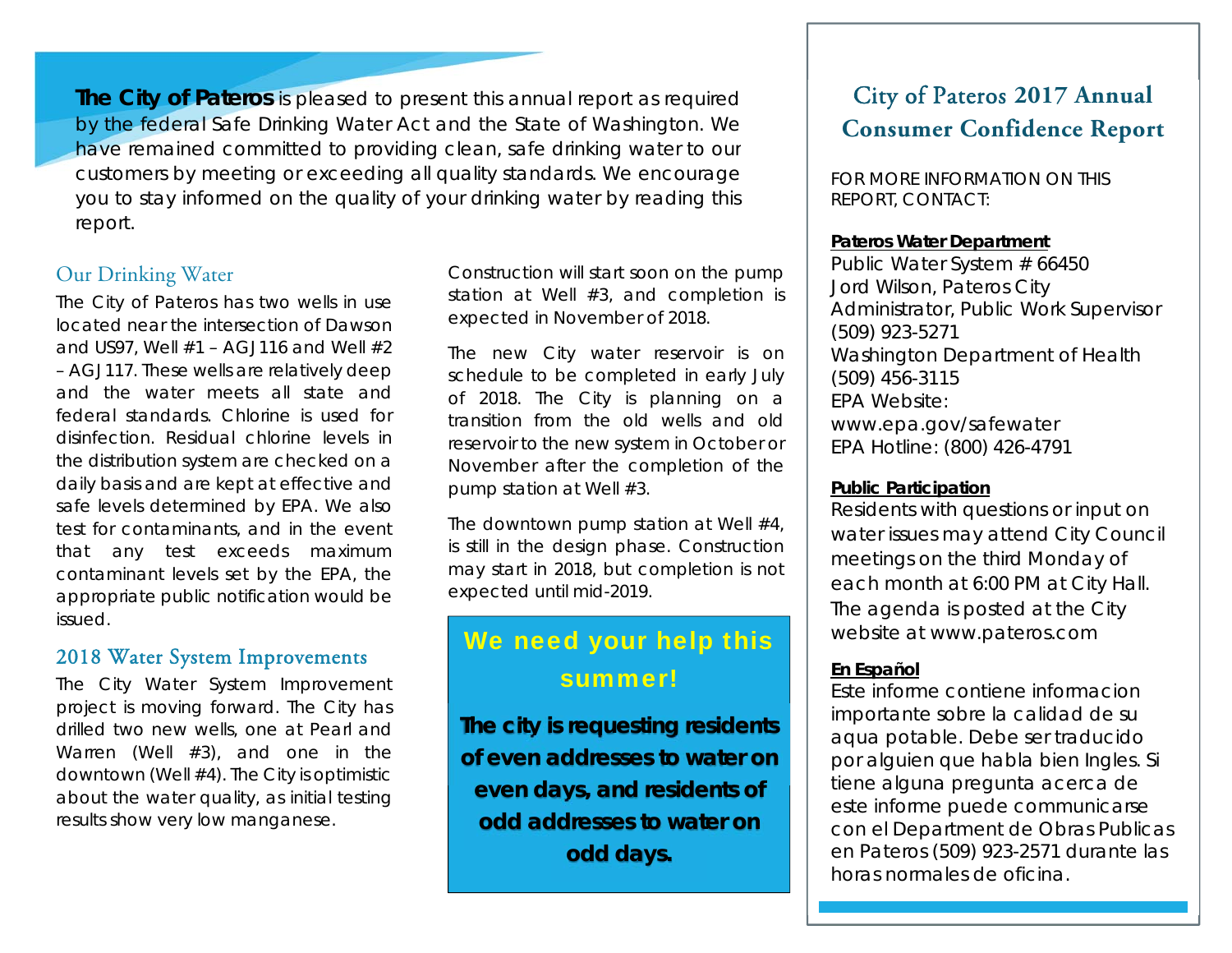**The City of Pateros** is pleased to present this annual report as required by the federal Safe Drinking Water Act and the State of Washington. We have remained committed to providing clean, safe drinking water to our customers by meeting or exceeding all quality standards. We encourage you to stay informed on the quality of your drinking water by reading this report.

### Our Drinking Water

The City of Pateros has two wells in use located near the intersection of Dawson and US97, Well #1 – AGJ116 and Well #2 – AGJ117. These wells are relatively deep and the water meets all state and federal standards. Chlorine is used for disinfection. Residual chlorine levels in the distribution system are checked on a daily basis and are kept at effective and safe levels determined by EPA. We also test for contaminants, and in the event that any test exceeds maximum contaminant levels set by the EPA, the appropriate public notification would be issued.

### 2018 Water System Improvements

The City Water System Improvement project is moving forward. The City has drilled two new wells, one at Pearl and Warren (Well #3), and one in the downtown (Well #4). The City is optimistic about the water quality, as initial testing results show very low manganese.

Construction will start soon on the pump station at Well #3, and completion is expected in November of 2018.

The new City water reservoir is on schedule to be completed in early July of 2018. The City is planning on a transition from the old wells and old reservoir to the new system in October or November after the completion of the pump station at Well #3.

The downtown pump station at Well #4, is still in the design phase. Construction may start in 2018, but completion is not expected until mid-2019.

# We need your help this summer!

**The city is requesting residents of even addresses to water on even days, and residents of odd addresses to water on odd days.** 

# City of Pateros **2017 Annual Consumer Confidence Report**

FOR MORE INFORMATION ON THIS REPORT, CONTACT:

### **Pateros Water Department**

Public Water System # 66450 Jord Wilson, Pateros City Administrator, Public Work Supervisor (509) 923-5271 Washington Department of Health (509) 456-3115 EPA Website: www.epa.gov/safewater EPA Hotline: (800) 426-4791

#### **Public Participation**

Residents with questions or input on water issues may attend City Council meetings on the third Monday of each month at 6:00 PM at City Hall. The agenda is posted at the City website at www.pateros.com

### **En Español**

Este informe contiene informacion importante sobre la calidad de su aqua potable. Debe ser traducido por alguien que habla bien Ingles. Si tiene alguna pregunta acerca de este informe puede communicarse con el Department de Obras Publicas en Pateros (509) 923-2571 durante las horas normales de oficina.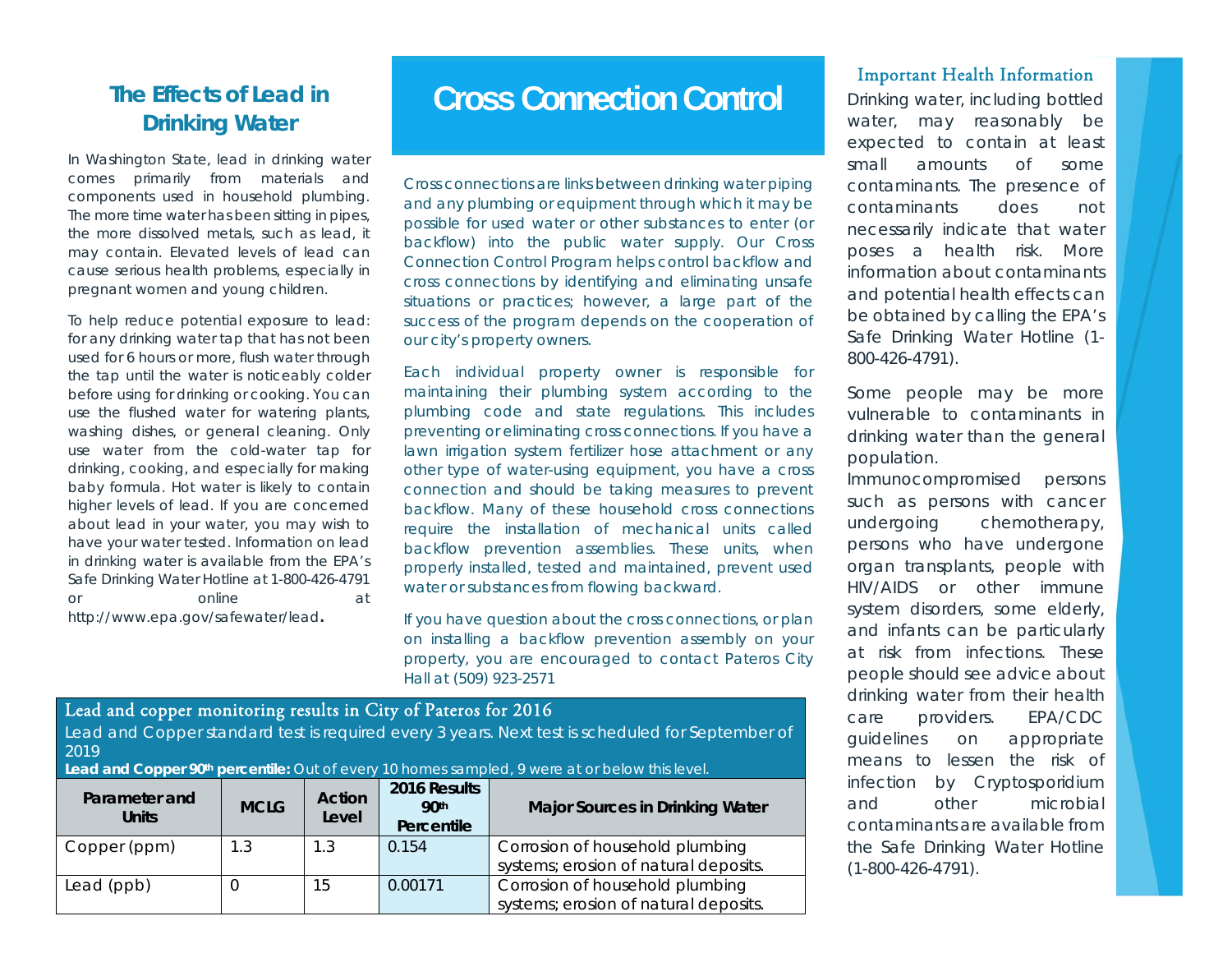## **The Effects of Lead in Drinking Water**

In Washington State, lead in drinking water comes primarily from materials and components used in household plumbing. The more time water has been sitting in pipes, the more dissolved metals, such as lead, it may contain. Elevated levels of lead can cause serious health problems, especially in pregnant women and young children.

To help reduce potential exposure to lead: for any drinking water tap that has not been used for 6 hours or more, flush water through the tap until the water is noticeably colder before using for drinking or cooking. You can use the flushed water for watering plants, washing dishes, or general cleaning. Only use water from the cold-water tap for drinking, cooking, and especially for making baby formula. Hot water is likely to contain higher levels of lead. If you are concerned about lead in your water, you may wish to have your water tested. Information on lead in drinking water is available from the EPA's Safe Drinking Water Hotline at 1-800-426-4791 or online at http://www.epa.gov/safewater/lead**.**

# **Cross Connection Control**

Cross connections are links between drinking water piping and any plumbing or equipment through which it may be possible for used water or other substances to enter (or backflow) into the public water supply. Our Cross Connection Control Program helps control backflow and cross connections by identifying and eliminating unsafe situations or practices; however, a large part of the success of the program depends on the cooperation of our city's property owners.

Each individual property owner is responsible for maintaining their plumbing system according to the plumbing code and state regulations. This includes preventing or eliminating cross connections. If you have a lawn irrigation system fertilizer hose attachment or any other type of water-using equipment, you have a cross connection and should be taking measures to prevent backflow. Many of these household cross connections require the installation of mechanical units called backflow prevention assemblies. These units, when properly installed, tested and maintained, prevent used water or substances from flowing backward.

If you have question about the cross connections, or plan on installing a backflow prevention assembly on your property, you are encouraged to contact Pateros City Hall at (509) 923-2571

### Lead and copper monitoring results in City of Pateros for 2016

*Lead and Copper standard test is required every 3 years. Next test is scheduled for September of 2019* 

Lead and Copper 90<sup>th</sup> percentile: Out of every 10 homes sampled, 9 were at or below this level.

| Parameter and<br><b>Units</b> | <b>MCLG</b> | <b>Action</b><br>Level | 2016 Results<br>90 <sup>th</sup><br>Percentile | <b>Major Sources in Drinking Water</b> |
|-------------------------------|-------------|------------------------|------------------------------------------------|----------------------------------------|
| Copper (ppm)                  | 1.3         | 1.3                    | 0.154                                          | Corrosion of household plumbing        |
|                               |             |                        |                                                | systems; erosion of natural deposits.  |
| Lead (ppb)                    |             | 15                     | 0.00171                                        | Corrosion of household plumbing        |
|                               |             |                        |                                                | systems; erosion of natural deposits.  |

### Important Health Information

Drinking water, including bottled water, may reasonably be expected to contain at least small amounts of some contaminants. The presence of contaminants does not necessarily indicate that water poses a health risk. More information about contaminants and potential health effects can be obtained by calling the EPA's Safe Drinking Water Hotline (1- 800-426-4791).

Some people may be more vulnerable to contaminants in drinking water than the general population.

Immunocompromised persons such as persons with cancer undergoing chemotherapy, persons who have undergone organ transplants, people with HIV/AIDS or other immune system disorders, some elderly, and infants can be particularly at risk from infections. These people should see advice about drinking water from their health care providers. EPA/CDC guidelines on appropriate means to lessen the risk of infection by Cryptosporidium and other microbial contaminants are available from the Safe Drinking Water Hotline (1-800-426-4791).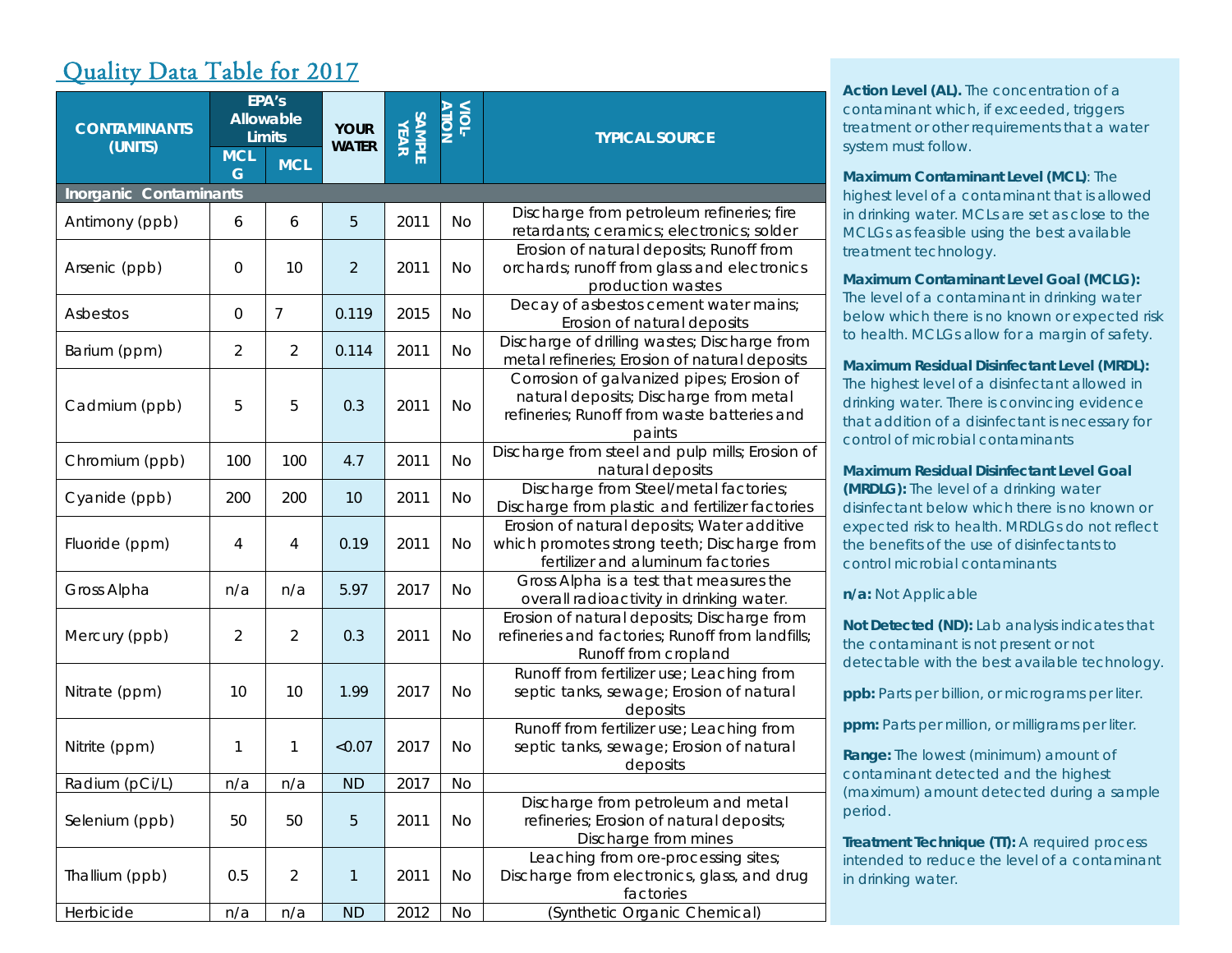## Quality Data Table for 2017

| <b>CONTAMINANTS</b><br>(UNITS) | <b>MCL</b><br>G | EPA's<br><b>Allowable</b><br><b>Limits</b><br><b>MCL</b> | <b>YOUR</b><br><b>WATER</b> | <b>SAMPLE</b><br>YEAR | <b>ATION</b><br>-TOIA | <b>TYPICAL SOURCE</b>                                                                                                                        |  |
|--------------------------------|-----------------|----------------------------------------------------------|-----------------------------|-----------------------|-----------------------|----------------------------------------------------------------------------------------------------------------------------------------------|--|
| Inorganic Contaminants         |                 |                                                          |                             |                       |                       |                                                                                                                                              |  |
| Antimony (ppb)                 | 6               | 6                                                        | 5                           | 2011                  | <b>No</b>             | Discharge from petroleum refineries; fire<br>retardants; ceramics; electronics; solder                                                       |  |
| Arsenic (ppb)                  | $\mathbf{0}$    | 10                                                       | $\overline{2}$              | 2011                  | <b>No</b>             | Erosion of natural deposits; Runoff from<br>orchards; runoff from glass and electronics<br>production wastes                                 |  |
| Asbestos                       | 0               | $\overline{7}$                                           | 0.119                       | 2015                  | <b>No</b>             | Decay of asbestos cement water mains;<br>Erosion of natural deposits                                                                         |  |
| Barium (ppm)                   | $\overline{2}$  | $\overline{2}$                                           | 0.114                       | 2011                  | <b>No</b>             | Discharge of drilling wastes; Discharge from<br>metal refineries; Erosion of natural deposits                                                |  |
| Cadmium (ppb)                  | 5               | 5                                                        | 0.3                         | 2011                  | <b>No</b>             | Corrosion of galvanized pipes; Erosion of<br>natural deposits; Discharge from metal<br>refineries; Runoff from waste batteries and<br>paints |  |
| Chromium (ppb)                 | 100             | 100                                                      | 4.7                         | 2011                  | <b>No</b>             | Discharge from steel and pulp mills; Erosion of<br>natural deposits                                                                          |  |
| Cyanide (ppb)                  | 200             | 200                                                      | 10                          | 2011                  | No                    | Discharge from Steel/metal factories;<br>Discharge from plastic and fertilizer factories                                                     |  |
| Fluoride (ppm)                 | 4               | 4                                                        | 0.19                        | 2011                  | <b>No</b>             | Erosion of natural deposits; Water additive<br>which promotes strong teeth; Discharge from<br>fertilizer and aluminum factories              |  |
| Gross Alpha                    | n/a             | n/a                                                      | 5.97                        | 2017                  | <b>No</b>             | Gross Alpha is a test that measures the<br>overall radioactivity in drinking water.                                                          |  |
| Mercury (ppb)                  | $\overline{2}$  | $\overline{2}$                                           | 0.3                         | 2011                  | <b>No</b>             | Erosion of natural deposits; Discharge from<br>refineries and factories; Runoff from landfills;<br>Runoff from cropland                      |  |
| Nitrate (ppm)                  | 10              | 10                                                       | 1.99                        | 2017                  | <b>No</b>             | Runoff from fertilizer use; Leaching from<br>septic tanks, sewage; Erosion of natural<br>deposits                                            |  |
| Nitrite (ppm)                  | 1               | 1                                                        | < 0.07                      | 2017                  | <b>No</b>             | Runoff from fertilizer use; Leaching from<br>septic tanks, sewage; Erosion of natural<br>deposits                                            |  |
| Radium (pCi/L)                 | n/a             | n/a                                                      | <b>ND</b>                   | 2017                  | <b>No</b>             |                                                                                                                                              |  |
| Selenium (ppb)                 | 50              | 50                                                       | 5                           | 2011                  | <b>No</b>             | Discharge from petroleum and metal<br>refineries; Erosion of natural deposits;<br>Discharge from mines                                       |  |
| Thallium (ppb)                 | 0.5             | $\overline{2}$                                           | $\mathbf{1}$                | 2011                  | No                    | Leaching from ore-processing sites;<br>Discharge from electronics, glass, and drug<br>factories                                              |  |
| Herbicide                      | n/a             | n/a                                                      | <b>ND</b>                   | 2012                  | <b>No</b>             | (Synthetic Organic Chemical)                                                                                                                 |  |

**Action Level (AL).** The concentration of a contaminant which, if exceeded, triggers treatment or other requirements that a water system must follow.

**Maximum Contaminant Level (MCL)**: The highest level of a contaminant that is allowed in drinking water. MCLs are set as close to the MCLGs as feasible using the best available treatment technology.

**Maximum Contaminant Level Goal (MCLG):**  The level of a contaminant in drinking water below which there is no known or expected risk to health. MCLGs allow for a margin of safety.

**Maximum Residual Disinfectant Level (MRDL):**  The highest level of a disinfectant allowed in drinking water. There is convincing evidence that addition of a disinfectant is necessary for control of microbial contaminants

**Maximum Residual Disinfectant Level Goal (MRDLG):** The level of a drinking water disinfectant below which there is no known or expected risk to health. MRDLGs do not reflect the benefits of the use of disinfectants to control microbial contaminants

**n/a:** Not Applicable

**Not Detected (ND):** Lab analysis indicates that the contaminant is not present or not detectable with the best available technology.

**ppb:** Parts per billion, or micrograms per liter.

**ppm:** Parts per million, or milligrams per liter.

**Range:** The lowest (minimum) amount of contaminant detected and the highest (maximum) amount detected during a sample period.

**Treatment Technique (TT):** A required process intended to reduce the level of a contaminant in drinking water.